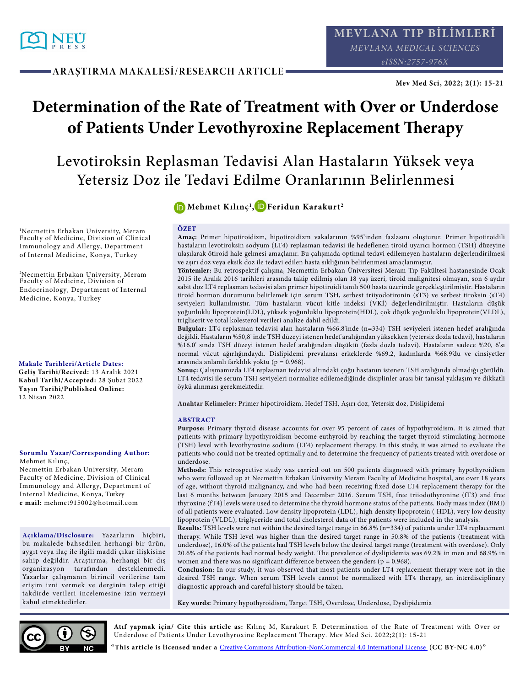

**ARAŞTIRMA MAKALESİ/RESEARCH ARTICLE**

# **Determination of the Rate of Treatment with Over or Underdose of Patients Under Levothyroxine Replacement Therapy**

# Levotiroksin Replasman Tedavisi Alan Hastaların Yüksek veya Yetersiz Doz ile Tedavi Edilme Oranlarının Belirlenmesi

<sup>1</sup>Necmettin Erbakan University, Meram Faculty of Medicine, Division of Clinical Immunology and Allergy, Department of Internal Medicine, Konya, Turkey

<sup>2</sup>Necmettin Erbakan University, Meram Faculty of Medicine, Division of Endocrinology, Department of Internal Medicine, Konya, Turkey

**Makale Tarihleri/Article Dates: Geliş Tarihi/Recived:** 13 Aralık 2021 **Kabul Tarihi/Accepted:** 28 Şubat 2022 **Yayın Tarihi/Published Online:**  12 Nisan 2022

#### **Sorumlu Yazar/Corresponding Author:** Mehmet Kılınç,

Necmettin Erbakan University, Meram Faculty of Medicine, Division of Clinical Immunology and Allergy, Department of Internal Medicine, Konya, Turkey **e mail:** mehmet915002@hotmail.com

**Açıklama/Disclosure:** Yazarların hiçbiri, bu makalede bahsedilen herhangi bir ürün, aygıt veya ilaç ile ilgili maddi çıkar ilişkisine sahip değildir. Araştırma, herhangi bir dış organizasyon tarafından desteklenmedi. Yazarlar çalışmanın birincil verilerine tam erişim izni vermek ve derginin talep ettiği takdirde verileri incelemesine izin vermeyi kabul etmektedirler.

# **[M](http://orcid.org/0000-0003-1117-6872)ehmet Kılınç1 [, F](http://orcid.org/0000-0001-7629-9625)eridun Karakurt2**

#### **ÖZET**

**Amaç:** Primer hipotiroidizm, hipotiroidizm vakalarının %95'inden fazlasını oluşturur. Primer hipotiroidili hastaların levotiroksin sodyum (LT4) replasman tedavisi ile hedeflenen tiroid uyarıcı hormon (TSH) düzeyine ulaşılarak ötiroid hale gelmesi amaçlanır. Bu çalışmada optimal tedavi edilemeyen hastaların değerlendirilmesi ve aşırı doz veya eksik doz ile tedavi edilen hasta sıklığının belirlenmesi amaçlanmıştır.

**Yöntemler:** Bu retrospektif çalışma, Necmettin Erbakan Üniversitesi Meram Tıp Fakültesi hastanesinde Ocak 2015 ile Aralık 2016 tarihleri arasında takip edilmiş olan 18 yaş üzeri, tiroid malignitesi olmayan, son 6 aydır sabit doz LT4 replasman tedavisi alan primer hipotiroidi tanılı 500 hasta üzerinde gerçekleştirilmiştir. Hastaların tiroid hormon durumunu belirlemek için serum TSH, serbest triiyodotironin (sT3) ve serbest tiroksin (sT4) seviyeleri kullanılmıştır. Tüm hastaların vücut kitle indeksi (VKİ) değerlendirilmiştir. Hastaların düşük yoğunluklu lipoprotein(LDL), yüksek yoğunluklu lipoprotein(HDL), çok düşük yoğunluklu lipoprotein(VLDL), trigliserit ve total kolesterol verileri analize dahil edildi.

**Bulgular:** LT4 replasman tedavisi alan hastaların %66.8'inde (n=334) TSH seviyeleri istenen hedef aralığında değildi. Hastaların %50,8' inde TSH düzeyi istenen hedef aralığından yüksekken (yetersiz dozla tedavi), hastaların %16.0' sında TSH düzeyi istenen hedef aralığından düşüktü (fazla dozla tedavi). Hastaların sadece %20, 6'sı normal vücut ağırlığındaydı. Dislipidemi prevalansı erkeklerde %69.2, kadınlarda %68.9'du ve cinsiyetler arasında anlamlı farklılık yoktu (p = 0.968).

**Sonuç:** Çalışmamızda LT4 replasman tedavisi altındaki çoğu hastanın istenen TSH aralığında olmadığı görüldü. LT4 tedavisi ile serum TSH seviyeleri normalize edilemediğinde disiplinler arası bir tanısal yaklaşım ve dikkatli öykü alınması gerekmektedir.

**Anahtar Kelimeler:** Primer hipotiroidizm, Hedef TSH, Aşırı doz, Yetersiz doz, Dislipidemi

#### **ABSTRACT**

**Purpose:** Primary thyroid disease accounts for over 95 percent of cases of hypothyroidism. It is aimed that patients with primary hypothyroidism become euthyroid by reaching the target thyroid stimulating hormone (TSH) level with levothyroxine sodium (LT4) replacement therapy. In this study, it was aimed to evaluate the patients who could not be treated optimally and to determine the frequency of patients treated with overdose or underdose.

**Methods:** This retrospective study was carried out on 500 patients diagnosed with primary hypothyroidism who were followed up at Necmettin Erbakan University Meram Faculty of Medicine hospital, are over 18 years of age, without thyroid malignancy, and who had been receiving fixed dose LT4 replacement therapy for the last 6 months between January 2015 and December 2016. Serum TSH, free triiodothyronine (fT3) and free thyroxine (fT4) levels were used to determine the thyroid hormone status of the patients. Body mass index (BMI) of all patients were evaluated. Low density lipoprotein (LDL), high density lipoprotein ( HDL), very low density lipoprotein (VLDL), triglyceride and total cholesterol data of the patients were included in the analysis.

**Results:** TSH levels were not within the desired target range in 66.8% (n=334) of patients under LT4 replacement therapy. While TSH level was higher than the desired target range in 50.8% of the patients (treatment with underdose), 16.0% of the patients had TSH levels below the desired target range (treatment with overdose). Only 20.6% of the patients had normal body weight. The prevalence of dyslipidemia was 69.2% in men and 68.9% in women and there was no significant difference between the genders ( $p = 0.968$ ).

**Conclusion:** In our study, it was observed that most patients under LT4 replacement therapy were not in the desired TSH range. When serum TSH levels cannot be normalized with LT4 therapy, an interdisciplinary diagnostic approach and careful history should be taken.

**Key words:** Primary hypothyroidism, Target TSH, Overdose, Underdose, Dyslipidemia



**Atıf yapmak için/ Cite this article as:** Kılınç M, Karakurt F. Determination of the Rate of Treatment with Over or Underdose of Patients Under Levothyroxine Replacement Therapy. Mev Med Sci. 2022;2(1): 15-21

**"This article is licensed under a** [Creative Commons Attribution-NonCommercial 4.0 International License](https://creativecommons.org/licenses/by-nc/4.0/) **(CC BY-NC 4.0)"**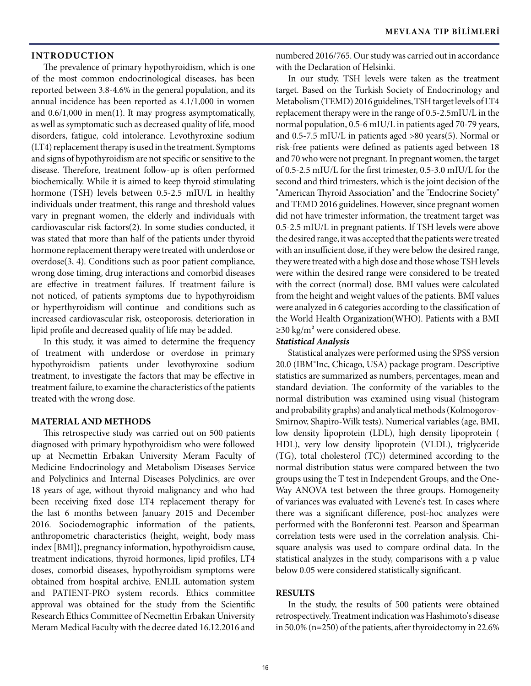## **INTRODUCTION**

The prevalence of primary hypothyroidism, which is one of the most common endocrinological diseases, has been reported between 3.8-4.6% in the general population, and its annual incidence has been reported as 4.1/1,000 in women and 0.6/1,000 in men(1). It may progress asymptomatically, as well as symptomatic such as decreased quality of life, mood disorders, fatigue, cold intolerance. Levothyroxine sodium (LT4) replacement therapy is used in the treatment. Symptoms and signs of hypothyroidism are not specific or sensitive to the disease. Therefore, treatment follow-up is often performed biochemically. While it is aimed to keep thyroid stimulating hormone (TSH) levels between 0.5-2.5 mIU/L in healthy individuals under treatment, this range and threshold values vary in pregnant women, the elderly and individuals with cardiovascular risk factors(2). In some studies conducted, it was stated that more than half of the patients under thyroid hormone replacement therapy were treated with underdose or overdose(3, 4). Conditions such as poor patient compliance, wrong dose timing, drug interactions and comorbid diseases are effective in treatment failures. If treatment failure is not noticed, of patients symptoms due to hypothyroidism or hyperthyroidism will continue and conditions such as increased cardiovascular risk, osteoporosis, deterioration in lipid profile and decreased quality of life may be added.

In this study, it was aimed to determine the frequency of treatment with underdose or overdose in primary hypothyroidism patients under levothyroxine sodium treatment, to investigate the factors that may be effective in treatment failure, to examine the characteristics of the patients treated with the wrong dose.

### **MATERIAL AND METHODS**

This retrospective study was carried out on 500 patients diagnosed with primary hypothyroidism who were followed up at Necmettin Erbakan University Meram Faculty of Medicine Endocrinology and Metabolism Diseases Service and Polyclinics and Internal Diseases Polyclinics, are over 18 years of age, without thyroid malignancy and who had been receiving fixed dose LT4 replacement therapy for the last 6 months between January 2015 and December 2016. Sociodemographic information of the patients, anthropometric characteristics (height, weight, body mass index [BMI]), pregnancy information, hypothyroidism cause, treatment indications, thyroid hormones, lipid profiles, LT4 doses, comorbid diseases, hypothyroidism symptoms were obtained from hospital archive, ENLIL automation system and PATIENT-PRO system records. Ethics committee approval was obtained for the study from the Scientific Research Ethics Committee of Necmettin Erbakan University Meram Medical Faculty with the decree dated 16.12.2016 and

numbered 2016/765. Our study was carried out in accordance with the Declaration of Helsinki.

In our study, TSH levels were taken as the treatment target. Based on the Turkish Society of Endocrinology and Metabolism (TEMD) 2016 guidelines, TSH target levels of LT4 replacement therapy were in the range of 0.5-2.5mIU/L in the normal population, 0.5-6 mIU/L in patients aged 70-79 years, and 0.5-7.5 mIU/L in patients aged >80 years(5). Normal or risk-free patients were defined as patients aged between 18 and 70 who were not pregnant. In pregnant women, the target of 0.5-2.5 mIU/L for the first trimester, 0.5-3.0 mIU/L for the second and third trimesters, which is the joint decision of the "American Thyroid Association" and the "Endocrine Society" and TEMD 2016 guidelines. However, since pregnant women did not have trimester information, the treatment target was 0.5-2.5 mIU/L in pregnant patients. If TSH levels were above the desired range, it was accepted that the patients were treated with an insufficient dose, if they were below the desired range, they were treated with a high dose and those whose TSH levels were within the desired range were considered to be treated with the correct (normal) dose. BMI values were calculated from the height and weight values of the patients. BMI values were analyzed in 6 categories according to the classification of the World Health Organization(WHO). Patients with a BMI ≥30 kg/m² were considered obese.

#### *Statistical Analysis*

Statistical analyzes were performed using the SPSS version 20.0 (IBM®Inc, Chicago, USA) package program. Descriptive statistics are summarized as numbers, percentages, mean and standard deviation. The conformity of the variables to the normal distribution was examined using visual (histogram and probability graphs) and analytical methods (Kolmogorov-Smirnov, Shapiro-Wilk tests). Numerical variables (age, BMI, low density lipoprotein (LDL), high density lipoprotein ( HDL), very low density lipoprotein (VLDL), triglyceride (TG), total cholesterol (TC)) determined according to the normal distribution status were compared between the two groups using the T test in Independent Groups, and the One-Way ANOVA test between the three groups. Homogeneity of variances was evaluated with Levene's test. In cases where there was a significant difference, post-hoc analyzes were performed with the Bonferonni test. Pearson and Spearman correlation tests were used in the correlation analysis. Chisquare analysis was used to compare ordinal data. In the statistical analyzes in the study, comparisons with a p value below 0.05 were considered statistically significant.

### **RESULTS**

In the study, the results of 500 patients were obtained retrospectively. Treatment indication was Hashimoto's disease in 50.0% (n=250) of the patients, after thyroidectomy in 22.6%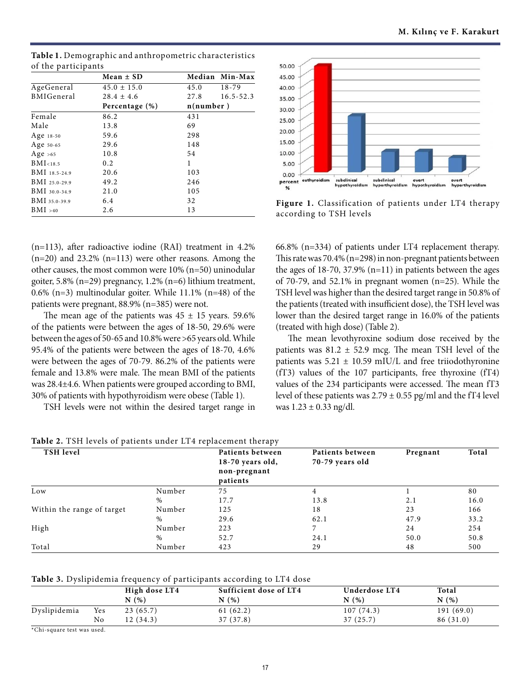|                     | Mean $\pm$ SD   |      | Median Min-Max |  |
|---------------------|-----------------|------|----------------|--|
| AgeGeneral          | $45.0 \pm 15.0$ | 45.0 | $18 - 79$      |  |
| <b>BMIGeneral</b>   | $28.4 \pm 4.6$  | 27.8 | $16.5 - 52.3$  |  |
|                     | Percentage (%)  |      | n(number)      |  |
| Female              | 86.2            | 431  |                |  |
| Male                | 13.8            | 69   |                |  |
| Age $18-50$         | 59.6            | 298  |                |  |
| Age 50-65           | 29.6            | 148  |                |  |
| Age $>65$           | 10.8            | 54   |                |  |
| BMI <sub>18.5</sub> | $0.2^{\circ}$   | 1    |                |  |
| BMI 18.5-24.9       | 20.6            | 103  |                |  |
| $BMI$ 25.0-29.9     | 49.2            | 246  |                |  |
| BMI 30.0-34.9       | 21.0            | 105  |                |  |
| BMI 35.0-39.9       | 6.4             | 32   |                |  |
| BMI > 40            | 2.6             | 13   |                |  |

**Table 1.** Demographic and anthropometric characteristics of the participants



**Figure 1.** Classification of patients under LT4 therapy according to TSH levels

(n=113), after radioactive iodine (RAI) treatment in 4.2%  $(n=20)$  and 23.2%  $(n=113)$  were other reasons. Among the other causes, the most common were 10% (n=50) uninodular goiter, 5.8% (n=29) pregnancy, 1.2% (n=6) lithium treatment, 0.6% (n=3) multinodular goiter. While 11.1% (n=48) of the patients were pregnant, 88.9% (n=385) were not.

The mean age of the patients was  $45 \pm 15$  years. 59.6% of the patients were between the ages of 18-50, 29.6% were between the ages of 50-65 and 10.8% were >65 years old. While 95.4% of the patients were between the ages of 18-70, 4.6% were between the ages of 70-79. 86.2% of the patients were female and 13.8% were male. The mean BMI of the patients was 28.4±4.6. When patients were grouped according to BMI, 30% of patients with hypothyroidism were obese (Table 1).

TSH levels were not within the desired target range in

66.8% (n=334) of patients under LT4 replacement therapy. This rate was 70.4% (n=298) in non-pregnant patients between the ages of  $18-70$ ,  $37.9\%$  (n=11) in patients between the ages of 70-79, and 52.1% in pregnant women (n=25). While the TSH level was higher than the desired target range in 50.8% of the patients (treated with insufficient dose), the TSH level was lower than the desired target range in 16.0% of the patients (treated with high dose) (Table 2).

The mean levothyroxine sodium dose received by the patients was  $81.2 \pm 52.9$  mcg. The mean TSH level of the patients was  $5.21 \pm 10.59$  mIU/L and free triiodothyronine (fT3) values of the 107 participants, free thyroxine (fT4) values of the 234 participants were accessed. The mean fT3 level of these patients was  $2.79 \pm 0.55$  pg/ml and the fT4 level was  $1.23 \pm 0.33$  ng/dl.

| Table 2. TSH levels of patients under LT4 replacement therapy |  |  |  |  |
|---------------------------------------------------------------|--|--|--|--|
|---------------------------------------------------------------|--|--|--|--|

| <b>TSH</b> level           |        | Patients between<br>$18-70$ years old,<br>non-pregnant<br>patients | Patients between<br>70-79 years old | Pregnant | Total |
|----------------------------|--------|--------------------------------------------------------------------|-------------------------------------|----------|-------|
| Low                        | Number | 75                                                                 |                                     |          | 80    |
|                            | $\%$   | 17.7                                                               | 13.8                                | 2.1      | 16.0  |
| Within the range of target | Number | 125                                                                | 18                                  | 23       | 166   |
|                            | %      | 29.6                                                               | 62.1                                | 47.9     | 33.2  |
| High                       | Number | 223                                                                |                                     | 24       | 254   |
|                            | $\%$   | 52.7                                                               | 24.1                                | 50.0     | 50.8  |
| Total                      | Number | 423                                                                | 29                                  | 48       | 500   |

**Table 3.** Dyslipidemia frequency of participants according to LT4 dose

|              |     | High dose LT4<br>N(% ) | Sufficient dose of LT4<br>N(% ) | Underdose LT4<br>N(% ) | Total<br>N(% ) |
|--------------|-----|------------------------|---------------------------------|------------------------|----------------|
| Dyslipidemia | Yes | 23(65.7)               | 61(62.2)                        | 107(74.3)              | 191(69.0)      |
|              | No  | 12(34.3)               | 37 (37.8)                       | 37(25.7)               | 86 (31.0)      |
| .            |     |                        |                                 |                        |                |

\*Chi-square test was used.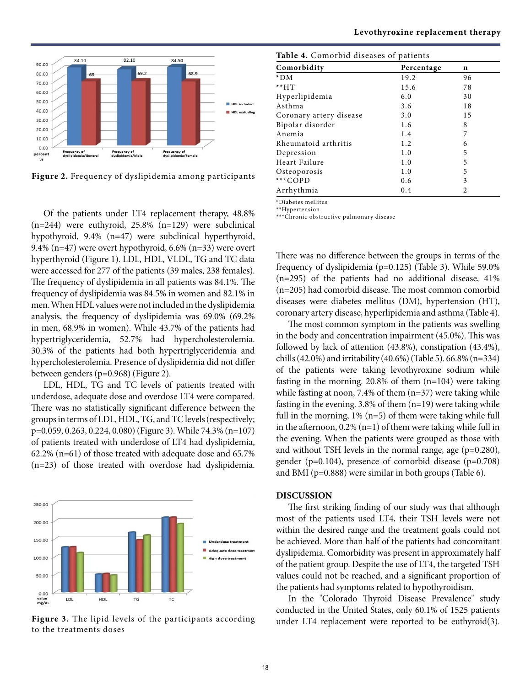

**Figure 2.** Frequency of dyslipidemia among participants

Of the patients under LT4 replacement therapy, 48.8% (n=244) were euthyroid, 25.8% (n=129) were subclinical hypothyroid, 9.4% (n=47) were subclinical hyperthyroid, 9.4% (n=47) were overt hypothyroid, 6.6% (n=33) were overt hyperthyroid (Figure 1). LDL, HDL, VLDL, TG and TC data were accessed for 277 of the patients (39 males, 238 females). The frequency of dyslipidemia in all patients was 84.1%. The frequency of dyslipidemia was 84.5% in women and 82.1% in men. When HDL values were not included in the dyslipidemia analysis, the frequency of dyslipidemia was 69.0% (69.2% in men, 68.9% in women). While 43.7% of the patients had hypertriglyceridemia, 52.7% had hypercholesterolemia. 30.3% of the patients had both hypertriglyceridemia and hypercholesterolemia. Presence of dyslipidemia did not differ between genders (p=0.968) (Figure 2).

LDL, HDL, TG and TC levels of patients treated with underdose, adequate dose and overdose LT4 were compared. There was no statistically significant difference between the groups in terms of LDL, HDL, TG, and TC levels (respectively; p=0.059, 0.263, 0.224, 0.080) (Figure 3). While 74.3% (n=107) of patients treated with underdose of LT4 had dyslipidemia, 62.2% (n=61) of those treated with adequate dose and 65.7% (n=23) of those treated with overdose had dyslipidemia.



**Figure 3.** The lipid levels of the participants according to the treatments doses

| Table 4. Comorbid diseases of patients |            |    |  |  |
|----------------------------------------|------------|----|--|--|
| Comorbidity                            | Percentage | n  |  |  |
| $*DM$                                  | 19.2       | 96 |  |  |
| $**H$                                  | 15.6       | 78 |  |  |
| Hyperlipidemia                         | 6.0        | 30 |  |  |
| Asthma                                 | 3.6        | 18 |  |  |
| Coronary artery disease                | 3.0        | 15 |  |  |
| Bipolar disorder                       | 1.6        | 8  |  |  |
| Anemia                                 | 1.4        | 7  |  |  |
| Rheumatoid arthritis                   | 1.2        | 6  |  |  |
| Depression                             | 1.0        | 5  |  |  |
| Heart Failure                          | 1.0        | 5  |  |  |
| Osteoporosis                           | 1.0        | 5  |  |  |
| ***COPD                                | 0.6        | 3  |  |  |
| Arrhythmia                             | 0.4        | 2  |  |  |

\*Diabetes mellitus \*\*Hypertension

\*\*\*Chronic obstructive pulmonary disease

There was no difference between the groups in terms of the frequency of dyslipidemia (p=0.125) (Table 3). While 59.0% (n=295) of the patients had no additional disease, 41% (n=205) had comorbid disease. The most common comorbid diseases were diabetes mellitus (DM), hypertension (HT), coronary artery disease, hyperlipidemia and asthma (Table 4).

The most common symptom in the patients was swelling in the body and concentration impairment (45.0%). This was followed by lack of attention (43.8%), constipation (43.4%), chills (42.0%) and irritability (40.6%) (Table 5). 66.8% (n=334) of the patients were taking levothyroxine sodium while fasting in the morning. 20.8% of them (n=104) were taking while fasting at noon, 7.4% of them (n=37) were taking while fasting in the evening. 3.8% of them (n=19) were taking while full in the morning,  $1\%$  (n=5) of them were taking while full in the afternoon,  $0.2\%$  (n=1) of them were taking while full in the evening. When the patients were grouped as those with and without TSH levels in the normal range, age (p=0.280), gender (p=0.104), presence of comorbid disease (p=0.708) and BMI (p=0.888) were similar in both groups (Table 6).

# **DISCUSSION**

The first striking finding of our study was that although most of the patients used LT4, their TSH levels were not within the desired range and the treatment goals could not be achieved. More than half of the patients had concomitant dyslipidemia. Comorbidity was present in approximately half of the patient group. Despite the use of LT4, the targeted TSH values could not be reached, and a significant proportion of the patients had symptoms related to hypothyroidism.

In the "Colorado Thyroid Disease Prevalence" study conducted in the United States, only 60.1% of 1525 patients under LT4 replacement were reported to be euthyroid(3).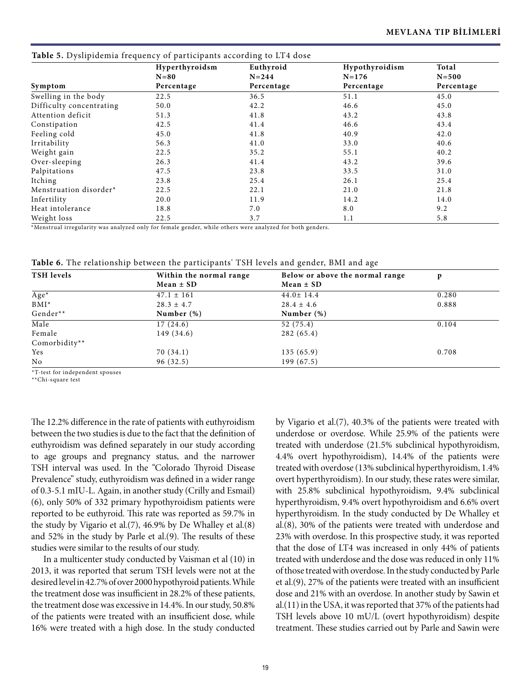|                          | Hyperthyroidsm | Euthyroid  | Hypothyroidism | Total      |
|--------------------------|----------------|------------|----------------|------------|
|                          | $N=80$         | $N = 244$  | $N = 176$      | $N=500$    |
| Symptom                  | Percentage     | Percentage | Percentage     | Percentage |
| Swelling in the body     | 22.5           | 36.5       | 51.1           | 45.0       |
| Difficulty concentrating | 50.0           | 42.2       | 46.6           | 45.0       |
| Attention deficit        | 51.3           | 41.8       | 43.2           | 43.8       |
| Constipation             | 42.5           | 41.4       | 46.6           | 43.4       |
| Feeling cold             | 45.0           | 41.8       | 40.9           | 42.0       |
| Irritability             | 56.3           | 41.0       | 33.0           | 40.6       |
| Weight gain              | 22.5           | 35.2       | 55.1           | 40.2       |
| Over-sleeping            | 26.3           | 41.4       | 43.2           | 39.6       |
| Palpitations             | 47.5           | 23.8       | 33.5           | 31.0       |
| Itching                  | 23.8           | 25.4       | 26.1           | 25.4       |
| Menstruation disorder*   | 22.5           | 22.1       | 21.0           | 21.8       |
| Infertility              | 20.0           | 11.9       | 14.2           | 14.0       |
| Heat intolerance         | 18.8           | 7.0        | 8.0            | 9.2        |
| Weight loss              | 22.5           | 3.7        | 1.1            | 5.8        |

**Table 5.** Dyslipidemia frequency of participants according to LT4 dose

\*Menstrual irregularity was analyzed only for female gender, while others were analyzed for both genders.

**Table 6.** The relationship between the participants' TSH levels and gender, BMI and age

| <b>TSH</b> levels  | Within the normal range | Below or above the normal range | p     |
|--------------------|-------------------------|---------------------------------|-------|
|                    | Mean $\pm$ SD           | Mean $\pm$ SD                   |       |
| $\overline{Age^*}$ | $47.1 \pm 161$          | $44.0 \pm 14.4$                 | 0.280 |
| $BMI^*$            | $28.3 \pm 4.7$          | $28.4 \pm 4.6$                  | 0.888 |
| Gender**           | Number $(\%)$           | Number $(\%)$                   |       |
| Male               | 17(24.6)                | 52 (75.4)                       | 0.104 |
| Female             | 149 (34.6)              | 282 (65.4)                      |       |
| Comorbidity**      |                         |                                 |       |
| <b>Yes</b>         | 70(34.1)                | 135(65.9)                       | 0.708 |
| No                 | 96 (32.5)               | 199(67.5)                       |       |

\*T-test for independent spouses

\*\*Chi-square test

The 12.2% difference in the rate of patients with euthyroidism between the two studies is due to the fact that the definition of euthyroidism was defined separately in our study according to age groups and pregnancy status, and the narrower TSH interval was used. In the "Colorado Thyroid Disease Prevalence" study, euthyroidism was defined in a wider range of 0.3-5.1 mIU-L. Again, in another study (Crilly and Esmail) (6), only 50% of 332 primary hypothyroidism patients were reported to be euthyroid. This rate was reported as 59.7% in the study by Vigario et al.(7), 46.9% by De Whalley et al.(8) and 52% in the study by Parle et al.(9). The results of these studies were similar to the results of our study.

In a multicenter study conducted by Vaisman et al (10) in 2013, it was reported that serum TSH levels were not at the desired level in 42.7% of over 2000 hypothyroid patients. While the treatment dose was insufficient in 28.2% of these patients, the treatment dose was excessive in 14.4%. In our study, 50.8% of the patients were treated with an insufficient dose, while 16% were treated with a high dose. In the study conducted

by Vigario et al.(7), 40.3% of the patients were treated with underdose or overdose. While 25.9% of the patients were treated with underdose (21.5% subclinical hypothyroidism, 4.4% overt hypothyroidism), 14.4% of the patients were treated with overdose (13% subclinical hyperthyroidism, 1.4% overt hyperthyroidism). In our study, these rates were similar, with 25.8% subclinical hypothyroidism, 9.4% subclinical hyperthyroidism, 9.4% overt hypothyroidism and 6.6% overt hyperthyroidism. In the study conducted by De Whalley et al.(8), 30% of the patients were treated with underdose and 23% with overdose. In this prospective study, it was reported that the dose of LT4 was increased in only 44% of patients treated with underdose and the dose was reduced in only 11% of those treated with overdose. In the study conducted by Parle et al.(9), 27% of the patients were treated with an insufficient dose and 21% with an overdose. In another study by Sawin et al.(11) in the USA, it was reported that 37% of the patients had TSH levels above 10 mU/L (overt hypothyroidism) despite treatment. These studies carried out by Parle and Sawin were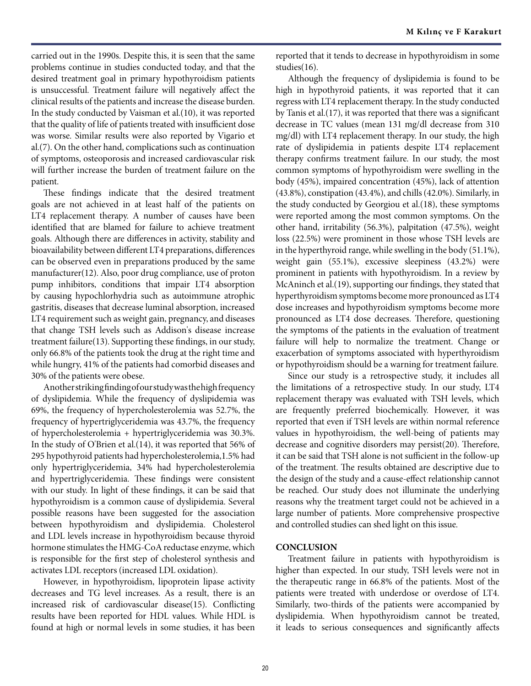carried out in the 1990s. Despite this, it is seen that the same problems continue in studies conducted today, and that the desired treatment goal in primary hypothyroidism patients is unsuccessful. Treatment failure will negatively affect the clinical results of the patients and increase the disease burden. In the study conducted by Vaisman et al.(10), it was reported that the quality of life of patients treated with insufficient dose was worse. Similar results were also reported by Vigario et al.(7). On the other hand, complications such as continuation of symptoms, osteoporosis and increased cardiovascular risk will further increase the burden of treatment failure on the patient.

These findings indicate that the desired treatment goals are not achieved in at least half of the patients on LT4 replacement therapy. A number of causes have been identified that are blamed for failure to achieve treatment goals. Although there are differences in activity, stability and bioavailability between different LT4 preparations, differences can be observed even in preparations produced by the same manufacturer(12). Also, poor drug compliance, use of proton pump inhibitors, conditions that impair LT4 absorption by causing hypochlorhydria such as autoimmune atrophic gastritis, diseases that decrease luminal absorption, increased LT4 requirement such as weight gain, pregnancy, and diseases that change TSH levels such as Addison's disease increase treatment failure(13). Supporting these findings, in our study, only 66.8% of the patients took the drug at the right time and while hungry, 41% of the patients had comorbid diseases and 30% of the patients were obese.

Another striking finding of our study was the high frequency of dyslipidemia. While the frequency of dyslipidemia was 69%, the frequency of hypercholesterolemia was 52.7%, the frequency of hypertriglyceridemia was 43.7%, the frequency of hypercholesterolemia + hypertriglyceridemia was 30.3%. In the study of O'Brien et al.(14), it was reported that 56% of 295 hypothyroid patients had hypercholesterolemia,1.5% had only hypertriglyceridemia, 34% had hypercholesterolemia and hypertriglyceridemia. These findings were consistent with our study. In light of these findings, it can be said that hypothyroidism is a common cause of dyslipidemia. Several possible reasons have been suggested for the association between hypothyroidism and dyslipidemia. Cholesterol and LDL levels increase in hypothyroidism because thyroid hormone stimulates the HMG-CoA reductase enzyme, which is responsible for the first step of cholesterol synthesis and activates LDL receptors (increased LDL oxidation).

However, in hypothyroidism, lipoprotein lipase activity decreases and TG level increases. As a result, there is an increased risk of cardiovascular disease(15). Conflicting results have been reported for HDL values. While HDL is found at high or normal levels in some studies, it has been

reported that it tends to decrease in hypothyroidism in some studies(16).

Although the frequency of dyslipidemia is found to be high in hypothyroid patients, it was reported that it can regress with LT4 replacement therapy. In the study conducted by Tanis et al.(17), it was reported that there was a significant decrease in TC values (mean 131 mg/dl decrease from 310 mg/dl) with LT4 replacement therapy. In our study, the high rate of dyslipidemia in patients despite LT4 replacement therapy confirms treatment failure. In our study, the most common symptoms of hypothyroidism were swelling in the body (45%), impaired concentration (45%), lack of attention (43.8%), constipation (43.4%), and chills (42.0%). Similarly, in the study conducted by Georgiou et al.(18), these symptoms were reported among the most common symptoms. On the other hand, irritability (56.3%), palpitation (47.5%), weight loss (22.5%) were prominent in those whose TSH levels are in the hyperthyroid range, while swelling in the body (51.1%), weight gain (55.1%), excessive sleepiness (43.2%) were prominent in patients with hypothyroidism. In a review by McAninch et al.(19), supporting our findings, they stated that hyperthyroidism symptoms become more pronounced as LT4 dose increases and hypothyroidism symptoms become more pronounced as LT4 dose decreases. Therefore, questioning the symptoms of the patients in the evaluation of treatment failure will help to normalize the treatment. Change or exacerbation of symptoms associated with hyperthyroidism or hypothyroidism should be a warning for treatment failure.

Since our study is a retrospective study, it includes all the limitations of a retrospective study. In our study, LT4 replacement therapy was evaluated with TSH levels, which are frequently preferred biochemically. However, it was reported that even if TSH levels are within normal reference values in hypothyroidism, the well-being of patients may decrease and cognitive disorders may persist(20). Therefore, it can be said that TSH alone is not sufficient in the follow-up of the treatment. The results obtained are descriptive due to the design of the study and a cause-effect relationship cannot be reached. Our study does not illuminate the underlying reasons why the treatment target could not be achieved in a large number of patients. More comprehensive prospective and controlled studies can shed light on this issue.

## **CONCLUSION**

Treatment failure in patients with hypothyroidism is higher than expected. In our study, TSH levels were not in the therapeutic range in 66.8% of the patients. Most of the patients were treated with underdose or overdose of LT4. Similarly, two-thirds of the patients were accompanied by dyslipidemia. When hypothyroidism cannot be treated, it leads to serious consequences and significantly affects